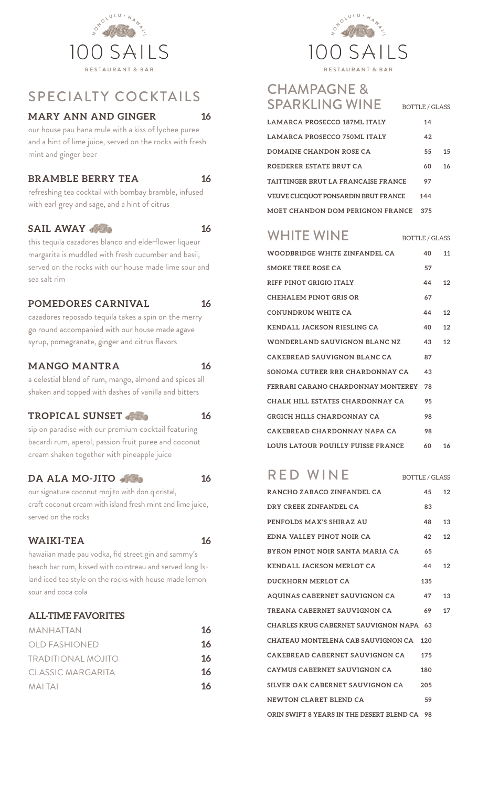

## SPECIALTY COCKTAILS

#### **MARY ANN AND GINGER 16**

our house pau hana mule with a kiss of lychee puree and a hint of lime juice, served on the rocks with fresh mint and ginger beer

#### **BRAMBLE BERRY TEA 16**

refreshing tea cocktail with bombay bramble, infused with earl grey and sage, and a hint of citrus

#### **SAIL AWAY 16**

this tequila cazadores blanco and elderflower liqueur margarita is muddled with fresh cucumber and basil, served on the rocks with our house made lime sour and sea salt rim

#### **POMEDORES CARNIVAL 16**

cazadores reposado tequila takes a spin on the merry go round accompanied with our house made agave syrup, pomegranate, ginger and citrus flavors

#### **MANGO MANTRA 16**

a celestial blend of rum, mango, almond and spices all shaken and topped with dashes of vanilla and bitters

#### TROPICAL SUNSET **16** 16

sip on paradise with our premium cocktail featuring bacardi rum, aperol, passion fruit puree and coconut cream shaken together with pineapple juice

#### **DA ALA MO-JITO 400 16**

our signature coconut mojito with don q cristal, craft coconut cream with island fresh mint and lime juice, served on the rocks

#### **WAIKI-TEA 16**

hawaiian made pau vodka, fid street gin and sammy's beach bar rum, kissed with cointreau and served long Island iced tea style on the rocks with house made lemon sour and coca cola

#### **ALL-TIME FAVORITES**

| 16 |
|----|
| 16 |
| 16 |
| 16 |
| 16 |
|    |



## CHAMPAGNE & SPARKLING WINE BOTTLE/GLASS

| LAMARCA PROSECCO 187ML ITALY                | 14  |    |
|---------------------------------------------|-----|----|
| LAMARCA PROSECCO 750ML ITALY                | 42  |    |
| DOMAINE CHANDON ROSE CA                     | 55  | 15 |
| ROEDERER ESTATE BRUT CA                     | 60  | 16 |
| TAITTINGER BRUT LA FRANCAISE FRANCE         | 97  |    |
| <b>VEUVE CLICOUOT PONSARDIN BRUT FRANCE</b> | 144 |    |
| MOET CHANDON DOM PERIGNON FRANCE            | 375 |    |

# WHITE WINE  $B$  bottle/glass

| WOODBRIDGE WHITE ZINFANDEL CA        | 40 | 11              |
|--------------------------------------|----|-----------------|
| SMOKE TREE ROSE CA                   | 57 |                 |
| RIFF PINOT GRIGIO ITALY              | 44 | 12              |
| CHEHALEM PINOT GRIS OR               | 67 |                 |
| CONUNDRUM WHITE CA                   | 44 | 12 <sub>2</sub> |
| <b>KENDALL JACKSON RIESLING CA</b>   | 40 | 12              |
| <b>WONDERLAND SAUVIGNON BLANC NZ</b> | 43 | 12              |
| CAKEBREAD SAUVIGNON BLANC CA         | 87 |                 |
| SONOMA CUTRER RRR CHARDONNAY CA      | 43 |                 |
| FERRARI CARANO CHARDONNAY MONTEREY   | 78 |                 |
| CHALK HILL ESTATES CHARDONNAY CA     | 95 |                 |
| <b>GRGICH HILLS CHARDONNAY CA</b>    | 98 |                 |
| CAKEBREAD CHARDONNAY NAPA CA         | 98 |                 |
| LOUIS LATOUR POULLY FUISSE FRANCE    | 60 | 16              |

## $RED$  WINE BOTTLE/GLASS

| RANCHO ZABACO ZINFANDEL CA                   | 45  | 12 |
|----------------------------------------------|-----|----|
| DRY CREEK ZINFANDEL CA                       | 83  |    |
| PENFOLDS MAX'S SHIRAZ AU                     | 48  | 13 |
| EDNA VALLEY PINOT NOIR CA                    | 42  | 12 |
| BYRON PINOT NOIR SANTA MARIA CA              | 65  |    |
| <b>KENDALL JACKSON MERLOT CA</b>             | 44  | 12 |
| <b>DUCKHORN MERLOT CA</b>                    | 135 |    |
| AQUINAS CABERNET SAUVIGNON CA                | 47  | 13 |
| TREANA CABERNET SAUVIGNON CA                 | 69  | 17 |
| CHARLES KRUG CABERNET SAUVIGNON NAPA 63      |     |    |
| CHATEAU MONTELENA CAB SAUVIGNON CA           | 120 |    |
| CAKEBREAD CABERNET SAUVIGNON CA              | 175 |    |
| CAYMUS CABERNET SAUVIGNON CA                 | 180 |    |
| SILVER OAK CABERNET SAUVIGNON CA             | 205 |    |
| NEWTON CLARET BLEND CA                       | 59  |    |
| ORIN SWIFT 8 YEARS IN THE DESERT BLEND CA 98 |     |    |